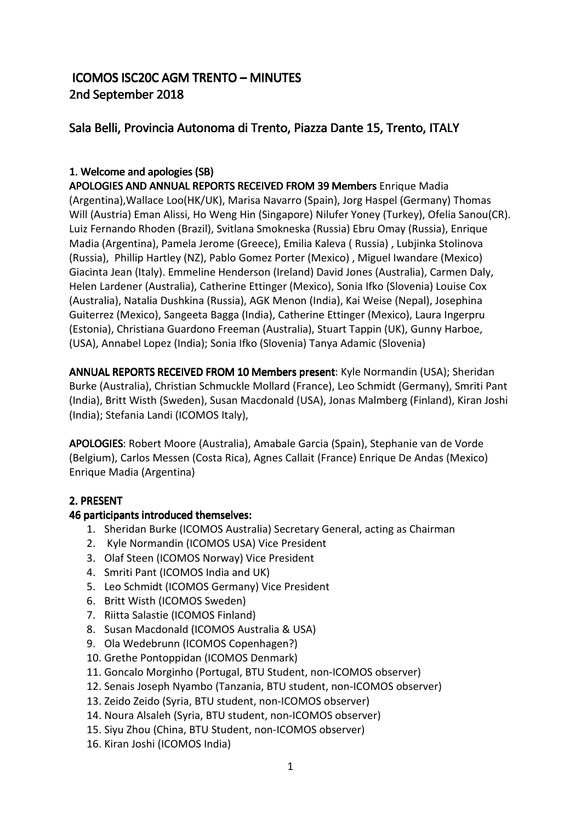# ICOMOS ISC20C AGM TRENTO - MINUTES 2nd September 2018

# Sala Belli, Provincia Autonoma di Trento, Piazza Dante 15, Trento, ITALY

# 1. Welcome and apologies (SB)

APOLOGIES AND ANNUAL REPORTS RECEIVED FROM 39 Members Enrique Madia (Argentina),Wallace Loo(HK/UK), Marisa Navarro (Spain), Jorg Haspel (Germany) Thomas Will (Austria) Eman Alissi, Ho Weng Hin (Singapore) Nilufer Yoney (Turkey), Ofelia Sanou(CR). Luiz Fernando Rhoden (Brazil), Svitlana Smokneska (Russia) Ebru Omay (Russia), Enrique Madia (Argentina), Pamela Jerome (Greece), Emilia Kaleva ( Russia) , Lubjinka Stolinova (Russia), Phillip Hartley (NZ), Pablo Gomez Porter (Mexico) , Miguel Iwandare (Mexico) Giacinta Jean (Italy). Emmeline Henderson (Ireland) David Jones (Australia), Carmen Daly, Helen Lardener (Australia), Catherine Ettinger (Mexico), Sonia Ifko (Slovenia) Louise Cox (Australia), Natalia Dushkina (Russia), AGK Menon (India), Kai Weise (Nepal), Josephina Guiterrez (Mexico), Sangeeta Bagga (India), Catherine Ettinger (Mexico), Laura Ingerpru (Estonia), Christiana Guardono Freeman (Australia), Stuart Tappin (UK), Gunny Harboe, (USA), Annabel Lopez (India); Sonia Ifko (Slovenia) Tanya Adamic (Slovenia)

ANNUAL REPORTS RECEIVED FROM 10 Members present: Kyle Normandin (USA); Sheridan Burke (Australia), Christian Schmuckle Mollard (France), Leo Schmidt (Germany), Smriti Pant (India), Britt Wisth (Sweden), Susan Macdonald (USA), Jonas Malmberg (Finland), Kiran Joshi (India); Stefania Landi (ICOMOS Italy),

APOLOGIES: Robert Moore (Australia), Amabale Garcia (Spain), Stephanie van de Vorde (Belgium), Carlos Messen (Costa Rica), Agnes Callait (France) Enrique De Andas (Mexico) Enrique Madia (Argentina)

# 2. PRESENT

# 46 participants introduced themselves:

- 1. Sheridan Burke (ICOMOS Australia) Secretary General, acting as Chairman
- 2. Kyle Normandin (ICOMOS USA) Vice President
- 3. Olaf Steen (ICOMOS Norway) Vice President
- 4. Smriti Pant (ICOMOS India and UK)
- 5. Leo Schmidt (ICOMOS Germany) Vice President
- 6. Britt Wisth (ICOMOS Sweden)
- 7. Riitta Salastie (ICOMOS Finland)
- 8. Susan Macdonald (ICOMOS Australia & USA)
- 9. Ola Wedebrunn (ICOMOS Copenhagen?)
- 10. Grethe Pontoppidan (ICOMOS Denmark)
- 11. Goncalo Morginho (Portugal, BTU Student, non-ICOMOS observer)
- 12. Senais Joseph Nyambo (Tanzania, BTU student, non-ICOMOS observer)
- 13. Zeido Zeido (Syria, BTU student, non-ICOMOS observer)
- 14. Noura Alsaleh (Syria, BTU student, non-ICOMOS observer)
- 15. Siyu Zhou (China, BTU Student, non-ICOMOS observer)
- 16. Kiran Joshi (ICOMOS India)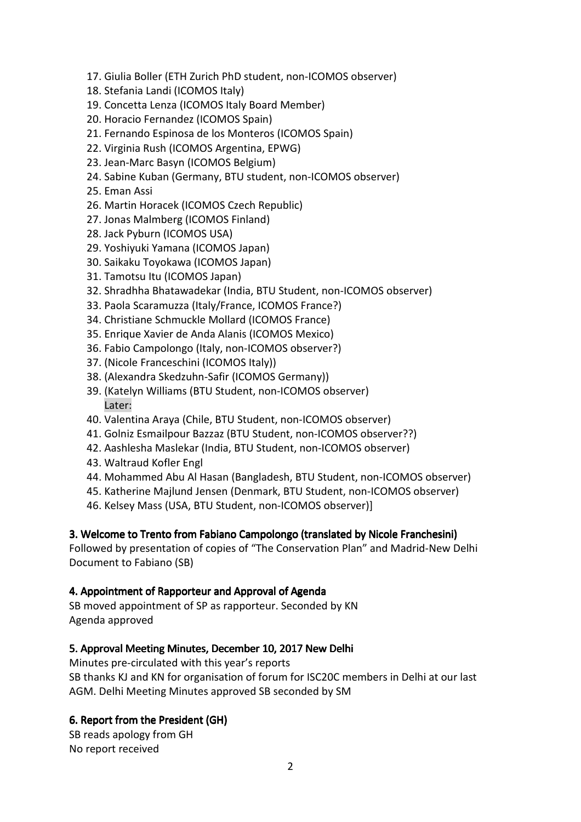- 17. Giulia Boller (ETH Zurich PhD student, non-ICOMOS observer)
- 18. Stefania Landi (ICOMOS Italy)
- 19. Concetta Lenza (ICOMOS Italy Board Member)
- 20. Horacio Fernandez (ICOMOS Spain)
- 21. Fernando Espinosa de los Monteros (ICOMOS Spain)
- 22. Virginia Rush (ICOMOS Argentina, EPWG)
- 23. Jean-Marc Basyn (ICOMOS Belgium)
- 24. Sabine Kuban (Germany, BTU student, non-ICOMOS observer)
- 25. Eman Assi
- 26. Martin Horacek (ICOMOS Czech Republic)
- 27. Jonas Malmberg (ICOMOS Finland)
- 28. Jack Pyburn (ICOMOS USA)
- 29. Yoshiyuki Yamana (ICOMOS Japan)
- 30. Saikaku Toyokawa (ICOMOS Japan)
- 31. Tamotsu Itu (ICOMOS Japan)
- 32. Shradhha Bhatawadekar (India, BTU Student, non-ICOMOS observer)
- 33. Paola Scaramuzza (Italy/France, ICOMOS France?)
- 34. Christiane Schmuckle Mollard (ICOMOS France)
- 35. Enrique Xavier de Anda Alanis (ICOMOS Mexico)
- 36. Fabio Campolongo (Italy, non-ICOMOS observer?)
- 37. (Nicole Franceschini (ICOMOS Italy))
- 38. (Alexandra Skedzuhn-Safir (ICOMOS Germany))
- 39. (Katelyn Williams (BTU Student, non-ICOMOS observer) Later:
- 40. Valentina Araya (Chile, BTU Student, non-ICOMOS observer)
- 41. Golniz Esmailpour Bazzaz (BTU Student, non-ICOMOS observer??)
- 42. Aashlesha Maslekar (India, BTU Student, non-ICOMOS observer)
- 43. Waltraud Kofler Engl
- 44. Mohammed Abu Al Hasan (Bangladesh, BTU Student, non-ICOMOS observer)
- 45. Katherine Majlund Jensen (Denmark, BTU Student, non-ICOMOS observer)
- 46. Kelsey Mass (USA, BTU Student, non-ICOMOS observer)]

#### 3. Welcome to Trento from Fabiano Campolongo (translated by Nicole Franchesini)

Followed by presentation of copies of "The Conservation Plan" and Madrid-New Delhi Document to Fabiano (SB)

#### 4. Appointment of Rapporteur and Approval of Agenda

SB moved appointment of SP as rapporteur. Seconded by KN Agenda approved

## 5. Approval Meeting Minutes, December 10, 2017 New Delhi

Minutes pre-circulated with this year's reports SB thanks KJ and KN for organisation of forum for ISC20C members in Delhi at our last AGM. Delhi Meeting Minutes approved SB seconded by SM

## 6. Report from the President (GH)

SB reads apology from GH No report received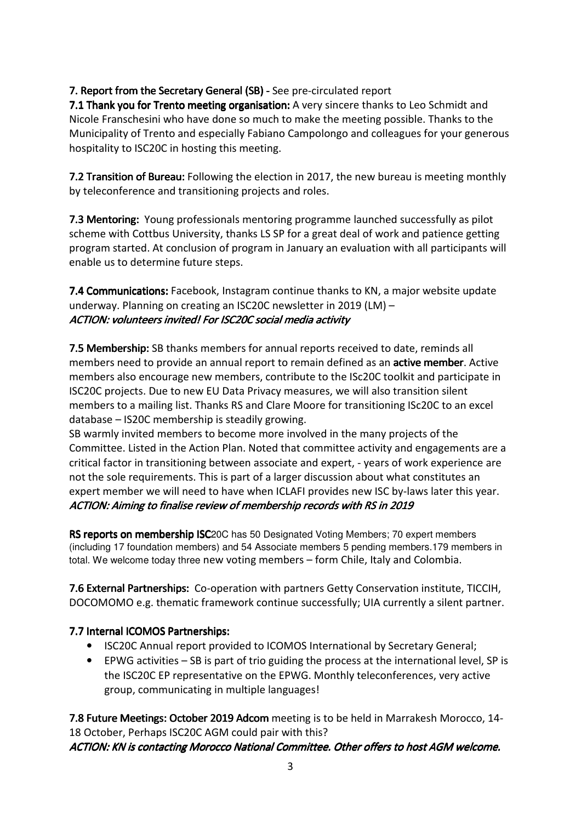# 7. Report from the Secretary General (SB) - See pre-circulated report

7.1 Thank you for Trento meeting organisation: A very sincere thanks to Leo Schmidt and Nicole Franschesini who have done so much to make the meeting possible. Thanks to the Municipality of Trento and especially Fabiano Campolongo and colleagues for your generous hospitality to ISC20C in hosting this meeting.

7.2 Transition of Bureau: Following the election in 2017, the new bureau is meeting monthly by teleconference and transitioning projects and roles.

7.3 Mentoring: Young professionals mentoring programme launched successfully as pilot scheme with Cottbus University, thanks LS SP for a great deal of work and patience getting program started. At conclusion of program in January an evaluation with all participants will enable us to determine future steps.

7.4 Communications: Facebook, Instagram continue thanks to KN, a major website update underway. Planning on creating an ISC20C newsletter in 2019 (LM) – ACTION: volunteers invited! For ISC20C social media activity

7.5 Membership: SB thanks members for annual reports received to date, reminds all members need to provide an annual report to remain defined as an **active member**. Active members also encourage new members, contribute to the ISc20C toolkit and participate in ISC20C projects. Due to new EU Data Privacy measures, we will also transition silent members to a mailing list. Thanks RS and Clare Moore for transitioning ISc20C to an excel database – IS20C membership is steadily growing.

SB warmly invited members to become more involved in the many projects of the Committee. Listed in the Action Plan. Noted that committee activity and engagements are a critical factor in transitioning between associate and expert, - years of work experience are not the sole requirements. This is part of a larger discussion about what constitutes an expert member we will need to have when ICLAFI provides new ISC by-laws later this year. ACTION: Aiming to finalise review of membership records with RS in 2019

RS reports on membership ISC20C has 50 Designated Voting Members; 70 expert members (including 17 foundation members) and 54 Associate members 5 pending members.179 members in total. We welcome today three new voting members – form Chile, Italy and Colombia.

7.6 External Partnerships: Co-operation with partners Getty Conservation institute, TICCIH, DOCOMOMO e.g. thematic framework continue successfully; UIA currently a silent partner.

# 7.7 Internal ICOMOS Partnerships:

- ISC20C Annual report provided to ICOMOS International by Secretary General;
- EPWG activities SB is part of trio guiding the process at the international level, SP is the ISC20C EP representative on the EPWG. Monthly teleconferences, very active group, communicating in multiple languages!

7.8 Future Meetings: October 2019 Adcom meeting is to be held in Marrakesh Morocco, 14-18 October, Perhaps ISC20C AGM could pair with this? ACTION: KN is contacting Morocco National Committee. Other offers to host AGM welcome.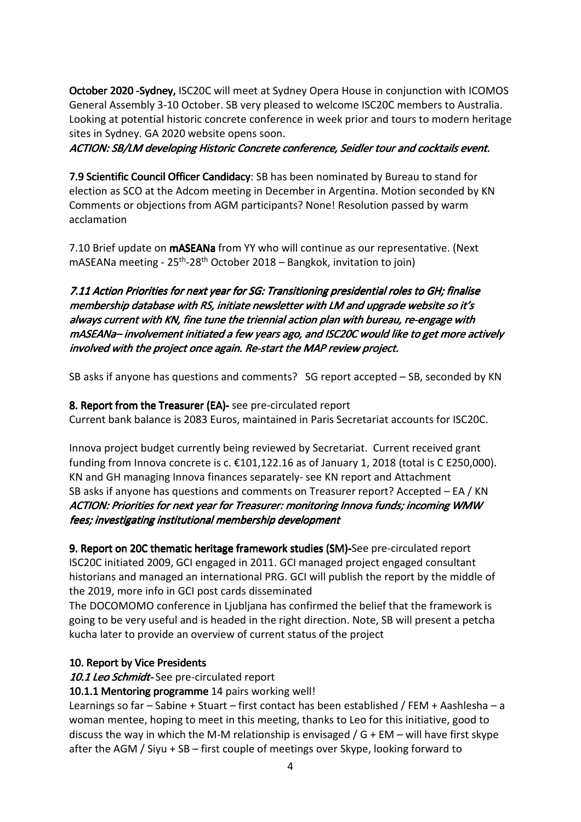October 2020 - Sydney, ISC20C will meet at Sydney Opera House in conjunction with ICOMOS General Assembly 3-10 October. SB very pleased to welcome ISC20C members to Australia. Looking at potential historic concrete conference in week prior and tours to modern heritage sites in Sydney. GA 2020 website opens soon.

ACTION: SB/LM developing Historic Concrete conference, Seidler tour and cocktails event.

7.9 Scientific Council Officer Candidacy: SB has been nominated by Bureau to stand for election as SCO at the Adcom meeting in December in Argentina. Motion seconded by KN Comments or objections from AGM participants? None! Resolution passed by warm acclamation

7.10 Brief update on **mASEANa** from YY who will continue as our representative. (Next mASEANa meeting - 25<sup>th</sup>-28<sup>th</sup> October 2018 – Bangkok, invitation to join)

7.11 Action Priorities for next year for SG: Transitioning presidential roles to GH; finalise membership database with RS, initiate newsletter with LM and upgrade website so it's always current with KN, fine tune the triennial action plan with bureau, re-engage with mASEANa– involvement initiated a few years ago, and ISC20C would like to get more actively involved with the project once again. Re-start the MAP review project.

SB asks if anyone has questions and comments? SG report accepted – SB, seconded by KN

8. Report from the Treasurer (EA)- see pre-circulated report Current bank balance is 2083 Euros, maintained in Paris Secretariat accounts for ISC20C.

Innova project budget currently being reviewed by Secretariat. Current received grant funding from Innova concrete is c. €101,122.16 as of January 1, 2018 (total is C E250,000). KN and GH managing Innova finances separately- see KN report and Attachment SB asks if anyone has questions and comments on Treasurer report? Accepted – EA / KN ACTION: Priorities for next year for Treasurer: monitoring Innova funds; incoming WMW fees; investigating institutional membership development

9. Report on 20C thematic heritage framework studies (SM)-See pre-circulated report ISC20C initiated 2009, GCI engaged in 2011. GCI managed project engaged consultant historians and managed an international PRG. GCI will publish the report by the middle of the 2019, more info in GCI post cards disseminated

The DOCOMOMO conference in Ljubljana has confirmed the belief that the framework is going to be very useful and is headed in the right direction. Note, SB will present a petcha kucha later to provide an overview of current status of the project

# 10. Report by Vice Presidents

10.1 Leo Schmidt-See pre-circulated report

10.1.1 Mentoring programme 14 pairs working well!

Learnings so far – Sabine + Stuart – first contact has been established / FEM + Aashlesha – a woman mentee, hoping to meet in this meeting, thanks to Leo for this initiative, good to discuss the way in which the M-M relationship is envisaged /  $G + EM -$  will have first skype after the AGM / Siyu + SB – first couple of meetings over Skype, looking forward to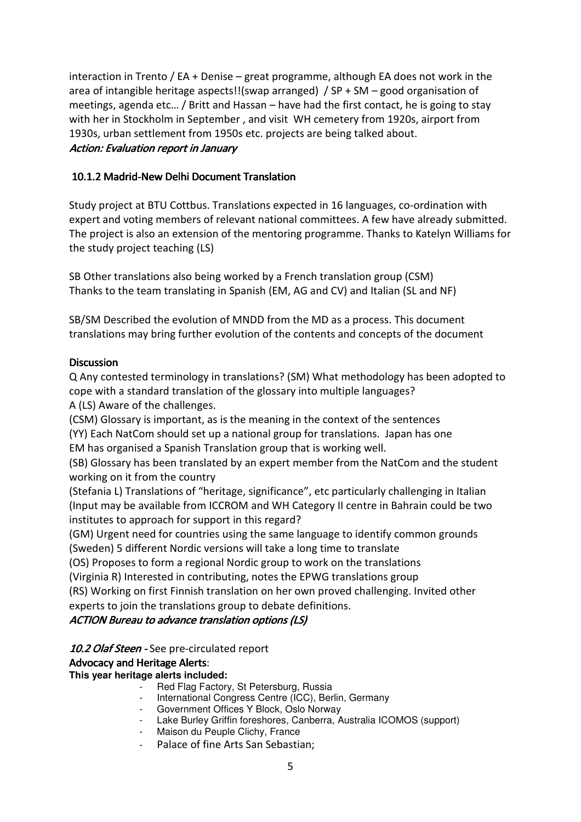interaction in Trento / EA + Denise – great programme, although EA does not work in the area of intangible heritage aspects!!(swap arranged) / SP + SM – good organisation of meetings, agenda etc… / Britt and Hassan – have had the first contact, he is going to stay with her in Stockholm in September , and visit WH cemetery from 1920s, airport from 1930s, urban settlement from 1950s etc. projects are being talked about. Action: Evaluation report in January

# 10.1.2 Madrid-New Delhi Document Translation

Study project at BTU Cottbus. Translations expected in 16 languages, co-ordination with expert and voting members of relevant national committees. A few have already submitted. The project is also an extension of the mentoring programme. Thanks to Katelyn Williams for the study project teaching (LS)

SB Other translations also being worked by a French translation group (CSM) Thanks to the team translating in Spanish (EM, AG and CV) and Italian (SL and NF)

SB/SM Described the evolution of MNDD from the MD as a process. This document translations may bring further evolution of the contents and concepts of the document

## **Discussion**

Q Any contested terminology in translations? (SM) What methodology has been adopted to cope with a standard translation of the glossary into multiple languages? A (LS) Aware of the challenges.

(CSM) Glossary is important, as is the meaning in the context of the sentences (YY) Each NatCom should set up a national group for translations. Japan has one

EM has organised a Spanish Translation group that is working well.

(SB) Glossary has been translated by an expert member from the NatCom and the student working on it from the country

(Stefania L) Translations of "heritage, significance", etc particularly challenging in Italian (Input may be available from ICCROM and WH Category II centre in Bahrain could be two institutes to approach for support in this regard?

(GM) Urgent need for countries using the same language to identify common grounds (Sweden) 5 different Nordic versions will take a long time to translate

(OS) Proposes to form a regional Nordic group to work on the translations

(Virginia R) Interested in contributing, notes the EPWG translations group

(RS) Working on first Finnish translation on her own proved challenging. Invited other experts to join the translations group to debate definitions.

## ACTION Bureau to advance translation options (LS)

10.2 Olaf Steen - See pre-circulated report

## Advocacy and Heritage Alerts:

**This year heritage alerts included:** 

- Red Flag Factory, St Petersburg, Russia
- International Congress Centre (ICC), Berlin, Germany
- Government Offices Y Block, Oslo Norway
- Lake Burley Griffin foreshores, Canberra, Australia ICOMOS (support)
- Maison du Peuple Clichy, France
- Palace of fine Arts San Sebastian;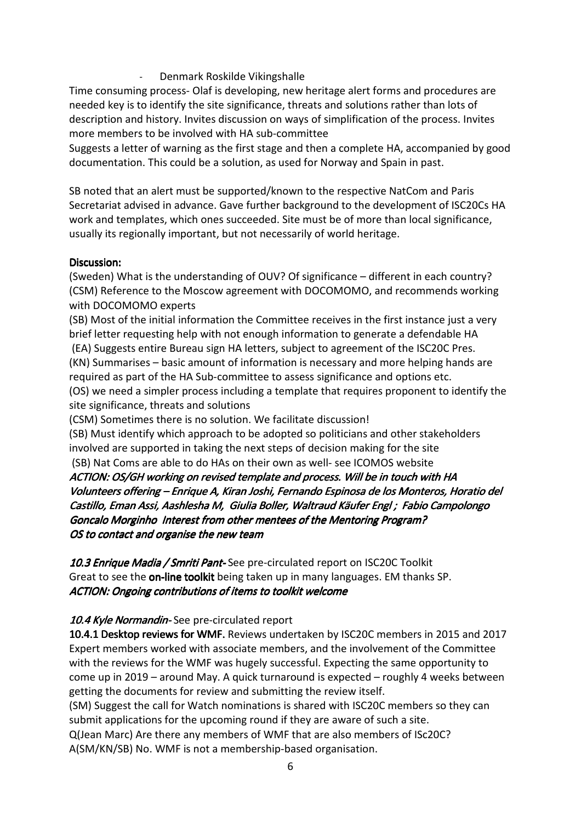- Denmark Roskilde Vikingshalle

Time consuming process- Olaf is developing, new heritage alert forms and procedures are needed key is to identify the site significance, threats and solutions rather than lots of description and history. Invites discussion on ways of simplification of the process. Invites more members to be involved with HA sub-committee

Suggests a letter of warning as the first stage and then a complete HA, accompanied by good documentation. This could be a solution, as used for Norway and Spain in past.

SB noted that an alert must be supported/known to the respective NatCom and Paris Secretariat advised in advance. Gave further background to the development of ISC20Cs HA work and templates, which ones succeeded. Site must be of more than local significance, usually its regionally important, but not necessarily of world heritage.

#### Discussion:

(Sweden) What is the understanding of OUV? Of significance – different in each country? (CSM) Reference to the Moscow agreement with DOCOMOMO, and recommends working with DOCOMOMO experts

(SB) Most of the initial information the Committee receives in the first instance just a very brief letter requesting help with not enough information to generate a defendable HA

(EA) Suggests entire Bureau sign HA letters, subject to agreement of the ISC20C Pres.

(KN) Summarises – basic amount of information is necessary and more helping hands are required as part of the HA Sub-committee to assess significance and options etc.

(OS) we need a simpler process including a template that requires proponent to identify the site significance, threats and solutions

(CSM) Sometimes there is no solution. We facilitate discussion!

(SB) Must identify which approach to be adopted so politicians and other stakeholders involved are supported in taking the next steps of decision making for the site (SB) Nat Coms are able to do HAs on their own as well- see ICOMOS website

ACTION: OS/GH working on revised template and process. Will be in touch with HA Volunteers offering – Enrique A, Kiran Joshi, Fernando Espinosa de los Monteros, Horatio del Castillo, Eman Assi, Aashlesha M, Giulia Boller, Waltraud Käufer Engl ; Fabio Campolongo Goncalo Morginho Interest from other mentees of the Mentoring Program? OS to contact and organise the new team

10.3 Enrique Madia / Smriti Pant-See pre-circulated report on ISC20C Toolkit Great to see the **on-line toolkit** being taken up in many languages. EM thanks SP. ACTION: Ongoing contributions of items to toolkit welcome

## 10.4 Kyle Normandin-See pre-circulated report

10.4.1 Desktop reviews for WMF. Reviews undertaken by ISC20C members in 2015 and 2017 Expert members worked with associate members, and the involvement of the Committee with the reviews for the WMF was hugely successful. Expecting the same opportunity to come up in 2019 – around May. A quick turnaround is expected – roughly 4 weeks between getting the documents for review and submitting the review itself.

(SM) Suggest the call for Watch nominations is shared with ISC20C members so they can submit applications for the upcoming round if they are aware of such a site. Q(Jean Marc) Are there any members of WMF that are also members of ISc20C?

A(SM/KN/SB) No. WMF is not a membership-based organisation.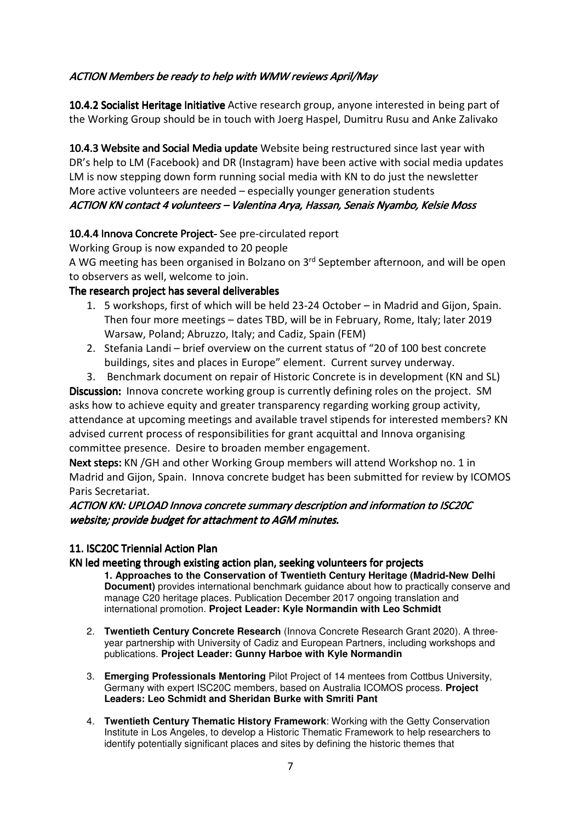## ACTION Members be ready to help with WMW reviews April/May

10.4.2 Socialist Heritage Initiative Active research group, anyone interested in being part of the Working Group should be in touch with Joerg Haspel, Dumitru Rusu and Anke Zalivako

10.4.3 Website and Social Media update Website being restructured since last year with DR's help to LM (Facebook) and DR (Instagram) have been active with social media updates LM is now stepping down form running social media with KN to do just the newsletter More active volunteers are needed – especially younger generation students ACTION KN contact 4 volunteers – Valentina Arya, Hassan, Senais Nyambo, Kelsie Moss

# 10.4.4 Innova Concrete Project-See pre-circulated report

Working Group is now expanded to 20 people

A WG meeting has been organised in Bolzano on 3<sup>rd</sup> September afternoon, and will be open to observers as well, welcome to join.

# The research project has several deliverables

- 1. 5 workshops, first of which will be held 23-24 October in Madrid and Gijon, Spain. Then four more meetings – dates TBD, will be in February, Rome, Italy; later 2019 Warsaw, Poland; Abruzzo, Italy; and Cadiz, Spain (FEM)
- 2. Stefania Landi brief overview on the current status of "20 of 100 best concrete buildings, sites and places in Europe" element. Current survey underway.
- 3. Benchmark document on repair of Historic Concrete is in development (KN and SL)

Discussion: Innova concrete working group is currently defining roles on the project. SM asks how to achieve equity and greater transparency regarding working group activity, attendance at upcoming meetings and available travel stipends for interested members? KN advised current process of responsibilities for grant acquittal and Innova organising committee presence. Desire to broaden member engagement.

Next steps: KN /GH and other Working Group members will attend Workshop no. 1 in Madrid and Gijon, Spain. Innova concrete budget has been submitted for review by ICOMOS Paris Secretariat.

# ACTION KN: UPLOAD Innova concrete summary description and information to ISC20C website; provide budget for attachment to AGM minutes.

## 11. ISC20C Triennial Action Plan

#### KN led meeting through existing action plan, seeking volunteers for projects

**1. Approaches to the Conservation of Twentieth Century Heritage (Madrid-New Delhi Document)** provides international benchmark guidance about how to practically conserve and manage C20 heritage places. Publication December 2017 ongoing translation and international promotion. **Project Leader: Kyle Normandin with Leo Schmidt** 

- 2. **Twentieth Century Concrete Research** (Innova Concrete Research Grant 2020). A threeyear partnership with University of Cadiz and European Partners, including workshops and publications. **Project Leader: Gunny Harboe with Kyle Normandin**
- 3. **Emerging Professionals Mentoring** Pilot Project of 14 mentees from Cottbus University, Germany with expert ISC20C members, based on Australia ICOMOS process. **Project Leaders: Leo Schmidt and Sheridan Burke with Smriti Pant**
- 4. **Twentieth Century Thematic History Framework**: Working with the Getty Conservation Institute in Los Angeles, to develop a Historic Thematic Framework to help researchers to identify potentially significant places and sites by defining the historic themes that